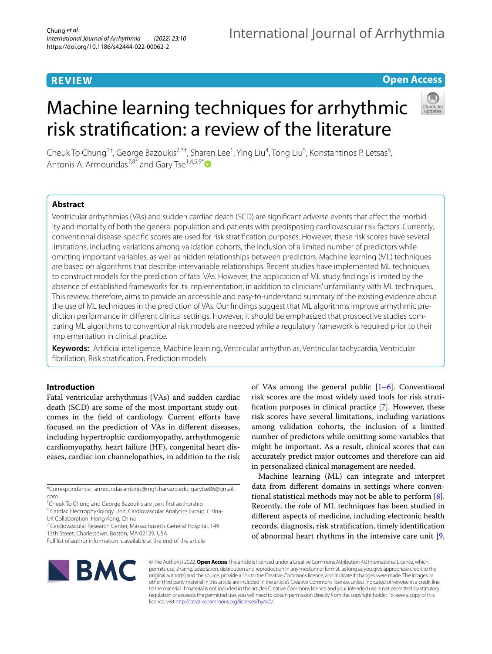# **REVIEW**

## **Open Access**

# Machine learning techniques for arrhythmic risk stratifcation: a review of the literature



Cheuk To Chung<sup>1†</sup>, George Bazoukis<sup>2,3†</sup>, Sharen Lee<sup>1</sup>, Ying Liu<sup>4</sup>, Tong Liu<sup>5</sup>, Konstantinos P. Letsas<sup>6</sup>, Antonis A. Armoundas<sup>7,8[\\*](http://orcid.org/0000-0001-5510-1253)</sup> and Gary Tse<sup>1,4,5,9\*</sup>

## **Abstract**

Ventricular arrhythmias (VAs) and sudden cardiac death (SCD) are signifcant adverse events that afect the morbidity and mortality of both the general population and patients with predisposing cardiovascular risk factors. Currently, conventional disease-specifc scores are used for risk stratifcation purposes. However, these risk scores have several limitations, including variations among validation cohorts, the inclusion of a limited number of predictors while omitting important variables, as well as hidden relationships between predictors. Machine learning (ML) techniques are based on algorithms that describe intervariable relationships. Recent studies have implemented ML techniques to construct models for the prediction of fatal VAs. However, the application of ML study fndings is limited by the absence of established frameworks for its implementation, in addition to clinicians' unfamiliarity with ML techniques. This review, therefore, aims to provide an accessible and easy-to-understand summary of the existing evidence about the use of ML techniques in the prediction of VAs. Our fndings suggest that ML algorithms improve arrhythmic prediction performance in diferent clinical settings. However, it should be emphasized that prospective studies comparing ML algorithms to conventional risk models are needed while a regulatory framework is required prior to their implementation in clinical practice.

**Keywords:** Artifcial intelligence, Machine learning, Ventricular arrhythmias, Ventricular tachycardia, Ventricular fbrillation, Risk stratifcation, Prediction models

## **Introduction**

Fatal ventricular arrhythmias (VAs) and sudden cardiac death (SCD) are some of the most important study outcomes in the feld of cardiology. Current eforts have focused on the prediction of VAs in diferent diseases, including hypertrophic cardiomyopathy, arrhythmogenic cardiomyopathy, heart failure (HF), congenital heart diseases, cardiac ion channelopathies, in addition to the risk

\*Correspondence: armoundas.antonis@mgh.harvard.edu; garytse86@gmail. com

† Cheuk To Chung and George Bazoukis are joint frst authorship <sup>1</sup> Cardiac Electrophysiology Unit, Cardiovascular Analytics Group, China-

UK Collaboration, Hong Kong, China

7 Cardiovascular Research Center, Massachusetts General Hospital, 149 13th Street, Charlestown, Boston, MA 02129, USA

of VAs among the general public  $[1-6]$  $[1-6]$  $[1-6]$ . Conventional risk scores are the most widely used tools for risk stratifcation purposes in clinical practice [[7\]](#page-11-2). However, these risk scores have several limitations, including variations among validation cohorts, the inclusion of a limited number of predictors while omitting some variables that might be important. As a result, clinical scores that can accurately predict major outcomes and therefore can aid in personalized clinical management are needed.

Machine learning (ML) can integrate and interpret data from diferent domains in settings where conventional statistical methods may not be able to perform [\[8](#page-11-3)]. Recently, the role of ML techniques has been studied in diferent aspects of medicine, including electronic health records, diagnosis, risk stratifcation, timely identifcation of abnormal heart rhythms in the intensive care unit [\[9](#page-11-4),



© The Author(s) 2022. **Open Access** This article is licensed under a Creative Commons Attribution 4.0 International License, which permits use, sharing, adaptation, distribution and reproduction in any medium or format, as long as you give appropriate credit to the original author(s) and the source, provide a link to the Creative Commons licence, and indicate if changes were made. The images or other third party material in this article are included in the article's Creative Commons licence, unless indicated otherwise in a credit line to the material. If material is not included in the article's Creative Commons licence and your intended use is not permitted by statutory regulation or exceeds the permitted use, you will need to obtain permission directly from the copyright holder. To view a copy of this licence, visit [http://creativecommons.org/licenses/by/4.0/.](http://creativecommons.org/licenses/by/4.0/)

Full list of author information is available at the end of the article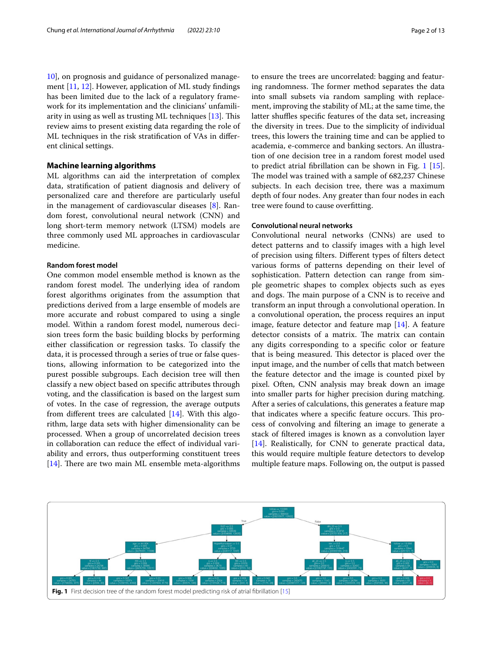[10\]](#page-11-5), on prognosis and guidance of personalized management [[11,](#page-11-6) [12](#page-11-7)]. However, application of ML study fndings has been limited due to the lack of a regulatory framework for its implementation and the clinicians' unfamiliarity in using as well as trusting ML techniques  $[13]$  $[13]$ . This review aims to present existing data regarding the role of

## **Machine learning algorithms**

ent clinical settings.

ML algorithms can aid the interpretation of complex data, stratifcation of patient diagnosis and delivery of personalized care and therefore are particularly useful in the management of cardiovascular diseases [[8\]](#page-11-3). Random forest, convolutional neural network (CNN) and long short-term memory network (LTSM) models are three commonly used ML approaches in cardiovascular medicine.

ML techniques in the risk stratifcation of VAs in difer-

## **Random forest model**

One common model ensemble method is known as the random forest model. The underlying idea of random forest algorithms originates from the assumption that predictions derived from a large ensemble of models are more accurate and robust compared to using a single model. Within a random forest model, numerous decision trees form the basic building blocks by performing either classifcation or regression tasks. To classify the data, it is processed through a series of true or false questions, allowing information to be categorized into the purest possible subgroups. Each decision tree will then classify a new object based on specifc attributes through voting, and the classifcation is based on the largest sum of votes. In the case of regression, the average outputs from diferent trees are calculated [[14](#page-11-9)]. With this algorithm, large data sets with higher dimensionality can be processed. When a group of uncorrelated decision trees in collaboration can reduce the efect of individual variability and errors, thus outperforming constituent trees [ $14$ ]. There are two main ML ensemble meta-algorithms to ensure the trees are uncorrelated: bagging and featuring randomness. The former method separates the data into small subsets via random sampling with replacement, improving the stability of ML; at the same time, the latter shuffles specific features of the data set, increasing the diversity in trees. Due to the simplicity of individual trees, this lowers the training time and can be applied to academia, e-commerce and banking sectors. An illustration of one decision tree in a random forest model used to predict atrial fbrillation can be shown in Fig. [1](#page-1-0) [\[15](#page-11-10)]. The model was trained with a sample of 682,237 Chinese subjects. In each decision tree, there was a maximum depth of four nodes. Any greater than four nodes in each tree were found to cause overftting.

## **Convolutional neural networks**

Convolutional neural networks (CNNs) are used to detect patterns and to classify images with a high level of precision using flters. Diferent types of flters detect various forms of patterns depending on their level of sophistication. Pattern detection can range from simple geometric shapes to complex objects such as eyes and dogs. The main purpose of a CNN is to receive and transform an input through a convolutional operation. In a convolutional operation, the process requires an input image, feature detector and feature map [[14](#page-11-9)]. A feature detector consists of a matrix. The matrix can contain any digits corresponding to a specifc color or feature that is being measured. This detector is placed over the input image, and the number of cells that match between the feature detector and the image is counted pixel by pixel. Often, CNN analysis may break down an image into smaller parts for higher precision during matching. After a series of calculations, this generates a feature map that indicates where a specific feature occurs. This process of convolving and fltering an image to generate a stack of fltered images is known as a convolution layer [[14\]](#page-11-9). Realistically, for CNN to generate practical data, this would require multiple feature detectors to develop multiple feature maps. Following on, the output is passed

<span id="page-1-0"></span>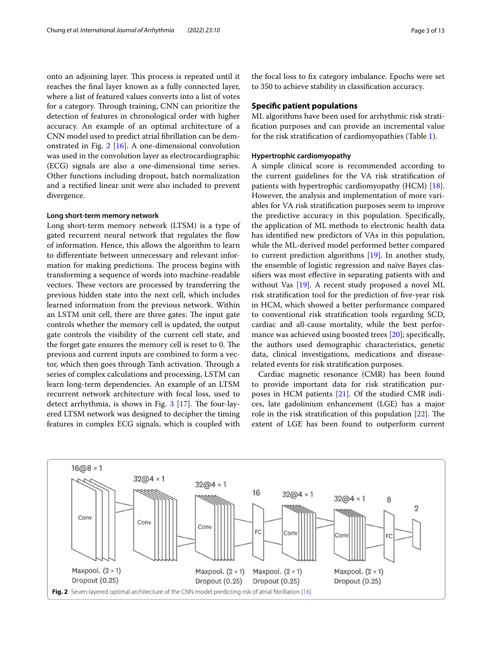onto an adjoining layer. This process is repeated until it reaches the fnal layer known as a fully connected layer, where a list of featured values converts into a list of votes for a category. Through training, CNN can prioritize the detection of features in chronological order with higher accuracy. An example of an optimal architecture of a CNN model used to predict atrial fbrillation can be demonstrated in Fig. [2](#page-2-0) [\[16](#page-11-11)]. A one-dimensional convolution was used in the convolution layer as electrocardiographic (ECG) signals are also a one-dimensional time series. Other functions including dropout, batch normalization and a rectifed linear unit were also included to prevent divergence.

## **Long short‑term memory network**

Long short-term memory network (LTSM) is a type of gated recurrent neural network that regulates the fow of information. Hence, this allows the algorithm to learn to diferentiate between unnecessary and relevant information for making predictions. The process begins with transforming a sequence of words into machine-readable vectors. These vectors are processed by transferring the previous hidden state into the next cell, which includes learned information from the previous network. Within an LSTM unit cell, there are three gates: The input gate controls whether the memory cell is updated, the output gate controls the visibility of the current cell state, and the forget gate ensures the memory cell is reset to 0. The previous and current inputs are combined to form a vector, which then goes through Tanh activation. Through a series of complex calculations and processing, LSTM can learn long-term dependencies. An example of an LTSM recurrent network architecture with focal loss, used to detect arrhythmia, is shows in Fig.  $3$  [\[17](#page-11-12)]. The four-layered LTSM network was designed to decipher the timing features in complex ECG signals, which is coupled with

the focal loss to fx category imbalance. Epochs were set to 350 to achieve stability in classifcation accuracy.

## **Specifc patient populations**

ML algorithms have been used for arrhythmic risk stratifcation purposes and can provide an incremental value for the risk stratifcation of cardiomyopathies (Table [1\)](#page-4-0).

## **Hypertrophic cardiomyopathy**

A simple clinical score is recommended according to the current guidelines for the VA risk stratifcation of patients with hypertrophic cardiomyopathy (HCM) [\[18](#page-11-13)]. However, the analysis and implementation of more variables for VA risk stratifcation purposes seem to improve the predictive accuracy in this population. Specifcally, the application of ML methods to electronic health data has identifed new predictors of VAs in this population, while the ML-derived model performed better compared to current prediction algorithms [[19\]](#page-11-14). In another study, the ensemble of logistic regression and naïve Bayes classifers was most efective in separating patients with and without Vas [\[19\]](#page-11-14). A recent study proposed a novel ML risk stratifcation tool for the prediction of fve-year risk in HCM, which showed a better performance compared to conventional risk stratifcation tools regarding SCD, cardiac and all-cause mortality, while the best perfor-mance was achieved using boosted trees [\[20](#page-11-15)]; specifically, the authors used demographic characteristics, genetic data, clinical investigations, medications and diseaserelated events for risk stratifcation purposes.

Cardiac magnetic resonance (CMR) has been found to provide important data for risk stratifcation purposes in HCM patients [[21](#page-11-16)]. Of the studied CMR indices, late gadolinium enhancement (LGE) has a major role in the risk stratification of this population  $[22]$  $[22]$ . The extent of LGE has been found to outperform current

<span id="page-2-0"></span>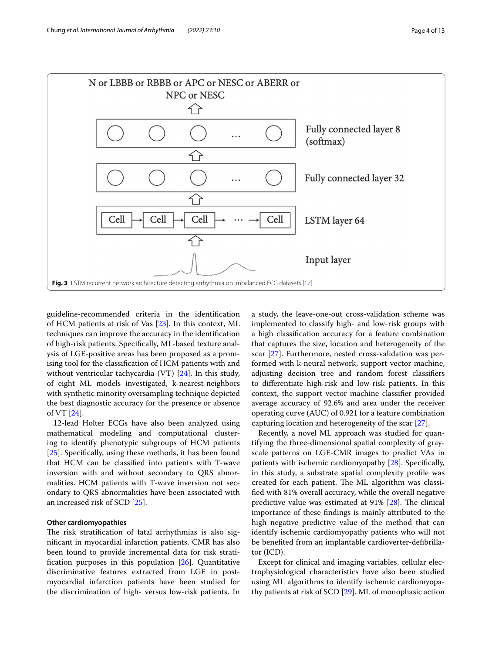



<span id="page-3-0"></span>guideline-recommended criteria in the identifcation of HCM patients at risk of Vas [\[23](#page-11-18)]. In this context, ML techniques can improve the accuracy in the identifcation of high-risk patients. Specifcally, ML-based texture analysis of LGE-positive areas has been proposed as a promising tool for the classifcation of HCM patients with and without ventricular tachycardia (VT) [[24](#page-11-19)]. In this study, of eight ML models investigated, k-nearest-neighbors with synthetic minority oversampling technique depicted the best diagnostic accuracy for the presence or absence of VT [\[24](#page-11-19)].

12-lead Holter ECGs have also been analyzed using mathematical modeling and computational clustering to identify phenotypic subgroups of HCM patients [[25\]](#page-11-20). Specifcally, using these methods, it has been found that HCM can be classifed into patients with T-wave inversion with and without secondary to QRS abnormalities. HCM patients with T-wave inversion not secondary to QRS abnormalities have been associated with an increased risk of SCD [[25\]](#page-11-20).

## **Other cardiomyopathies**

The risk stratification of fatal arrhythmias is also signifcant in myocardial infarction patients. CMR has also been found to provide incremental data for risk stratifcation purposes in this population [\[26\]](#page-11-21). Quantitative discriminative features extracted from LGE in postmyocardial infarction patients have been studied for the discrimination of high- versus low-risk patients. In a study, the leave-one-out cross-validation scheme was implemented to classify high- and low-risk groups with a high classifcation accuracy for a feature combination that captures the size, location and heterogeneity of the scar [[27\]](#page-11-22). Furthermore, nested cross-validation was performed with k-neural network, support vector machine, adjusting decision tree and random forest classifers to diferentiate high-risk and low-risk patients. In this context, the support vector machine classifer provided average accuracy of 92.6% and area under the receiver operating curve (AUC) of 0.921 for a feature combination capturing location and heterogeneity of the scar [\[27](#page-11-22)].

Recently, a novel ML approach was studied for quantifying the three-dimensional spatial complexity of grayscale patterns on LGE-CMR images to predict VAs in patients with ischemic cardiomyopathy [[28](#page-11-23)]. Specifcally, in this study, a substrate spatial complexity profle was created for each patient. The ML algorithm was classifed with 81% overall accuracy, while the overall negative predictive value was estimated at  $91\%$  [\[28](#page-11-23)]. The clinical importance of these fndings is mainly attributed to the high negative predictive value of the method that can identify ischemic cardiomyopathy patients who will not be benefted from an implantable cardioverter-defbrillator (ICD).

Except for clinical and imaging variables, cellular electrophysiological characteristics have also been studied using ML algorithms to identify ischemic cardiomyopathy patients at risk of SCD [\[29](#page-11-24)]. ML of monophasic action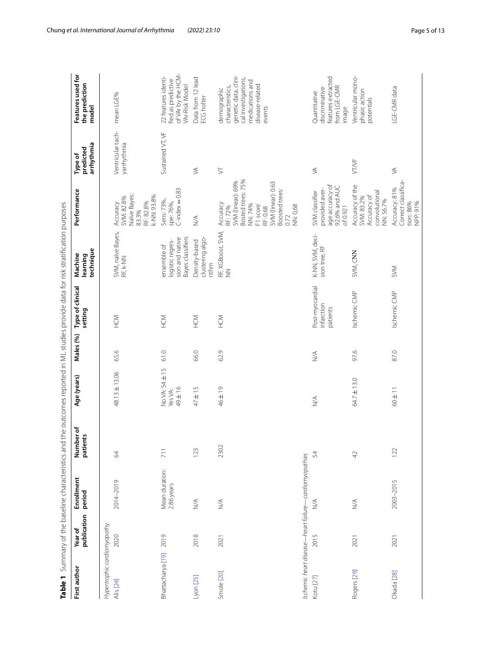| First author                             | publication<br>Year of | Enrollment<br>period                                                                      | Number of<br>£<br>patien | Age (years)                        | Males (%) | Type of clinical<br>setting               | technique<br>Machine<br>learning                                        | Performance                                                                                                                                                  | arrhythmia<br>predicted<br>Type of | Features used for<br>the prediction<br>model                                                                                   |
|------------------------------------------|------------------------|-------------------------------------------------------------------------------------------|--------------------------|------------------------------------|-----------|-------------------------------------------|-------------------------------------------------------------------------|--------------------------------------------------------------------------------------------------------------------------------------------------------------|------------------------------------|--------------------------------------------------------------------------------------------------------------------------------|
| Hypertrophic cardiomyopathy<br>Alis [24] | 2020                   | 2014-2019                                                                                 | 64                       | 48.13±13.06                        | 65.6      | NDH                                       | SVM, naïve Bayes,<br>RF, k-NN                                           | Naïve Bayes:<br>k-NN: 93.8%<br>SVM: 82.8%<br>RF: 82.8%<br>Accuracy<br>83.3%                                                                                  | Ventricular tach-<br>yarrhythmia   | mean LGE%                                                                                                                      |
| Bhattacharya [19]                        | 2019                   | Mean duration:<br>2.86 years                                                              | 711                      | No VA: 54 ± 15<br>49±16<br>Yes VA: | 61.0      | N <sub>OH</sub>                           | Bayes classifiers<br>sion and native<br>logistic regres-<br>ensemble of | $C$ -index $=$ 0.83<br>Sens: 73%,<br>spe: 76%,                                                                                                               | Sustained VT, VF                   | of VAr by the HCM-<br>22 features identi-<br>fied as predictive<br>VAr-Risk Model                                              |
| Lyon [25]                                | 2018                   | $\stackrel{\triangleleft}{\geq}$                                                          | 123                      | $47 \pm 15$                        | 66.0      | N <sub>OH</sub>                           | clustering algo-<br>Density-based<br>rithm                              | $\lessgtr$                                                                                                                                                   | $\lessgtr$                         | Data from 12 lead<br>ECG holter                                                                                                |
| Smole [20]                               | 2021                   | $\stackrel{\triangleleft}{\geq}$                                                          | 2302                     | 46±19                              | 62.9      | N <sub>OH</sub>                           | RF, XGBoost, SVM,<br>NN                                                 | Bosted trees: 75%<br>SVM (linear): 69%<br>SVM (linear): 0.63<br>Boosted trees:<br>Accuracy<br>NN: 74%<br>F1 score<br>NN: 0,68<br>RF: 72%<br>RF: 0.68<br>0.72 | $\searrow$                         | genetic data, clini-<br>cal investigations,<br>medications and<br>disease-related<br>characteristics,<br>demographic<br>events |
| Kotu [27]                                | 2015                   | Ischemic heart disease-heart failure-cardiomyopathies<br>$\stackrel{\triangleleft}{\geq}$ | 54                       | $\lessgtr$                         | $\leq$    | Post-myocardial<br>infarction<br>patients | K-NN, SVM, deci-<br>sion tree, RF                                       | age accuracy of<br>92.6% and AUC<br>provided aver-<br>SVM classifier<br>of 0.921                                                                             | $\lessgtr$                         | features extracted<br>from LGE-CMR<br>discriminative<br>Quantitative<br>image                                                  |
| Rogers [29]                              | 2021                   | $\leq$                                                                                    | 42                       | 64.7±13.0                          | 97.6      | Ischemic CMP                              | SVM, CNN                                                                | Accuracy of the<br>convolutional<br>Accuracy of<br>SVM: 83.2%<br>NN: 56.7%                                                                                   | <b>VT/VF</b>                       | Ventricular mono-<br>phasic action<br>potentials                                                                               |
| Okada [28]                               | 2021                   | 2003-2015                                                                                 | 122                      | $60 \pm 11$                        | 87.0      | Ischemic CMP                              | SVM                                                                     | Correct classifica-<br>Accuracy: 81%<br>tion: 86%<br>NPP: 91%                                                                                                | $\lessgtr$                         | LGE-CMR data                                                                                                                   |

<span id="page-4-0"></span>Table 1 Summary of the baseline characteristics and the outcomes reported in ML studies provide data for risk stratification purposes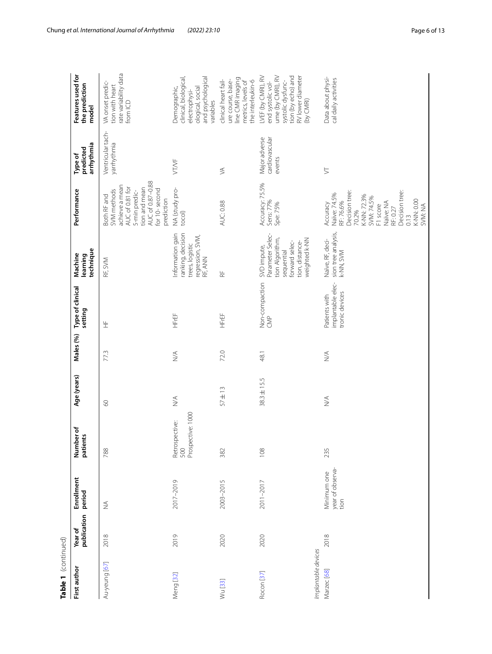| Table 1 (continued)                          |                        |                                         |                                            |                              |                              |                                                      |                                                                                                                        |                                                                                                                                                                                      |                                           |                                                                                                                                           |
|----------------------------------------------|------------------------|-----------------------------------------|--------------------------------------------|------------------------------|------------------------------|------------------------------------------------------|------------------------------------------------------------------------------------------------------------------------|--------------------------------------------------------------------------------------------------------------------------------------------------------------------------------------|-------------------------------------------|-------------------------------------------------------------------------------------------------------------------------------------------|
| First author                                 | publication<br>Year of | Enrollment<br>period                    | Number of<br>patients                      | Age (years)                  | Males (%)                    | Type of clinical<br>setting                          | technique<br>Machine<br>learning                                                                                       | Performance                                                                                                                                                                          | arrhythmia<br>predicted<br>Type of        | Features used for<br>the prediction<br>model                                                                                              |
| Au-yeung [67]                                | 2018                   | $\stackrel{\triangle}{\geq}$            | 788                                        | $\infty$                     | 77.3                         | 生                                                    | RF, SVM                                                                                                                | AUC of 0.87-0.88<br>achieve a mean<br>AUC of 0.81 for<br>tion and mean<br>for 10-second<br>SVM methods<br>5-min predic-<br>3oth RF and<br>prediction                                 | Ventricular tach-<br>yarrhythmia          | rate variability data<br>VA onset predic-<br>tion with heart<br>from ICD                                                                  |
| Meng [32]                                    | 2019                   | 2017-2019                               | Retrospective:<br>500<br>Prospective: 1000 | $\stackrel{\triangle}{\geq}$ | $\frac{1}{2}$                | HFrEF                                                | Information gain<br>ranking, decision<br>regression, SVM,<br>RF, ANN<br>trees, logistic                                | NA (study pro-<br>tocol)                                                                                                                                                             | <b>VT/VF</b>                              | clinical, biological,<br>and psychological<br>Demographic,<br>ological, social<br>electrophysi-<br>variables                              |
| Wu [33]                                      | 2020                   | 2003-2015                               | 382                                        | $57 \pm 13$                  | 72.0                         | HFrEF                                                | $\stackrel{\sqcup}{\propto}$                                                                                           | <b>AUC: 0.88</b>                                                                                                                                                                     | $\lesssim$                                | line CMR imaging<br>ure course, base-<br>clinical heart fail-<br>metrics, levels of<br>the interleukin-6                                  |
| Implantable devices<br>Rocon <sup>[37]</sup> | 2020                   | 2011-2017                               | 108                                        | $38.3 \pm 15.5$              | 48.1                         | Non-compaction<br>$rac{p}{\sqrt{2}}$                 | Parameter Selec-<br>tion Algorithm,<br>weighted k-NN<br>tion, distance-<br>forward selec-<br>SVD impute,<br>sequential | Accuracy: 75.5%<br>Sens: 77%<br>Spe: 75%                                                                                                                                             | cardiovascular<br>Major adverse<br>events | tion (by echo) and<br>LVEF (by CMRI), RV<br>ume (by CMRI), RV<br>RV lower diameter<br>systolic dysfunc-<br>end systolic vol-<br>(by CMRI) |
| Marzec [68]                                  | 2018                   | year of observa-<br>Minimum one<br>tion | 235                                        | $\stackrel{\triangle}{\geq}$ | $\stackrel{\triangle}{\geq}$ | implantable elec-<br>tronic devices<br>Patients with | sion tree analysis,<br>Naïve, RF, deci-<br>k-NN, SVM                                                                   | Decision tree:<br>Decision tree:<br>Naïve: 74.5%<br>K-NN: 72.3%<br>SVM: 74.5%<br>K-NN: 0.00<br>Naïve: NA<br>RF:76.6%<br>Accuracy<br>F1 score<br>SVM: NA<br>RF: 0.27<br>70.2%<br>0.13 | $\gtrsim$                                 | Data about physi-<br>cal daily activities                                                                                                 |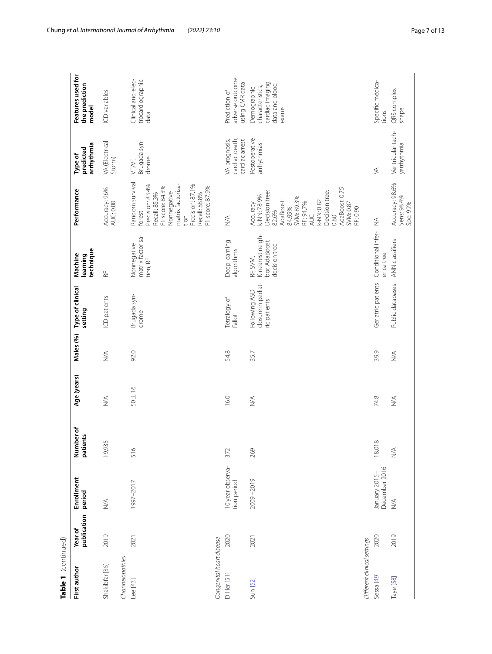| Table 1 (continued)                       |                        |                                 |                              |                              |            |                                                     |                                                                 |                                                                                                                                                                                                |                                                   |                                                                               |
|-------------------------------------------|------------------------|---------------------------------|------------------------------|------------------------------|------------|-----------------------------------------------------|-----------------------------------------------------------------|------------------------------------------------------------------------------------------------------------------------------------------------------------------------------------------------|---------------------------------------------------|-------------------------------------------------------------------------------|
| First author                              | publication<br>Year of | Enrollment<br>period            | Number of<br>patients        | Age (years)                  | Males (%)  | Type of clinical<br>setting                         | technique<br>Machine<br>learning                                | Performance                                                                                                                                                                                    | arrhythmia<br>predicted<br>Type of                | Features used for<br>the prediction<br>model                                  |
| Shakibfar [35]                            | 2019                   | $\lesssim$                      | 19,935                       | $\stackrel{\triangle}{\geq}$ | $\lesssim$ | ICD patients                                        | $\frac{\mu}{\alpha}$                                            | Accuracy: 96%<br><b>AUC: 0.80</b>                                                                                                                                                              | VA (Electrical<br>Storm)                          | ICD variables                                                                 |
| Channelopathies<br>Lee [43]               | 2021                   | 1997-2017                       | 516                          | $50 \pm 16$                  | 92.0       | Brugada syn-<br>drome                               | matrix factorisa-<br>Nonnegative<br>tion, RF                    | Random survival<br>Precision: 83.4%<br>matrix factoriza-<br>Precision: 87.1%<br>F1 score: 84.3%<br>F1 score: 87.9%<br>Nonnegative<br>Recall: 85.3%<br>Recall: 88.8%<br>forest<br>tion          | Brugada syn-<br>drome<br>VT/VF,                   | Clinical and elec-<br>trocardiographic<br>data                                |
| Congenital heart disease<br>Dilller [51]  | 2020                   | 10 year observa-<br>tion period | 372                          | 16.0                         | 54.8       | Tetralogy of<br>Fallot                              | Deep learning<br>algorithms                                     | $\stackrel{\triangleleft}{\geq}$                                                                                                                                                               | cardiac death,<br>VA prognosis,<br>cardiac arrest | adverse outcome<br>using CMR data<br>Prediction of                            |
| Sun [52]                                  | 2021                   | 2009-2019                       | 269                          | $\lessgtr$                   | 35.7       | closure in pediat-<br>Following ASD<br>ric patients | K-nearest neigh-<br>bor, AdaBoost,<br>decision tree<br>RF, SVM, | AdaBoost: 0.75<br>Decision tree:<br>Decision tree:<br>k-NN: 78.9%<br>SVM: 89.3%<br>AdaBoost:<br>k-NN: 0.82<br>RF: 94.7%<br>SVM: 0.87<br>Accuracy<br>84.95%<br>RF: 0.90<br>82.6%<br>AUC<br>0.80 | Postoperative<br>arrhythmias                      | cardiac imaging<br>data and blood<br>characteristics,<br>Demographic<br>exams |
| Different clinical settings<br>Sessa [49] | 2020                   | December 2016<br>January 2015-  | 18,018                       | 74.8                         | 39.9       | Geriatric patients                                  | Conditional infer-<br>ence tree                                 | ₹                                                                                                                                                                                              | ≶                                                 | Specific medica-<br>tions                                                     |
| Taye [58]                                 | 2019                   | $\leq$                          | $\stackrel{\triangle}{\geq}$ | $\stackrel{\triangle}{\geq}$ | $\leq$     | Public databases                                    | ANN classifiers                                                 | Accuracy: 98.6%<br>Sens: 98.4%<br>Spe: 99%                                                                                                                                                     | Ventricular tach-<br>yarrhythmia                  | QRS complex<br>shape                                                          |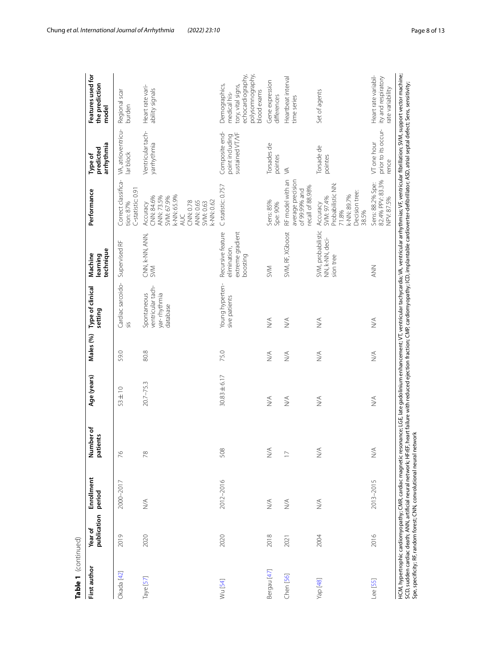| publication<br>Year of<br>2020<br>2019<br>First author<br>Okada [42]<br>Taye [57] |                                  |                              |                              |                              |                                                              |                                                                   |                                                                                                                                      |                                                      |                                                                                                             |
|-----------------------------------------------------------------------------------|----------------------------------|------------------------------|------------------------------|------------------------------|--------------------------------------------------------------|-------------------------------------------------------------------|--------------------------------------------------------------------------------------------------------------------------------------|------------------------------------------------------|-------------------------------------------------------------------------------------------------------------|
|                                                                                   | Enrollment<br>period             | Number of<br>patients        | Age (years)                  | Males (%)                    | Type of clinical<br>setting                                  | technique<br>Machine<br>learning                                  | Performance                                                                                                                          | arrhythmia<br>predicted<br>Type of                   | Features used for<br>the prediction<br>model                                                                |
|                                                                                   | 2000-2017                        | 76                           | $53 \pm 10$                  | 59.0                         | Cardiac sarcoido-<br>sis                                     | Supervised RF                                                     | Correct classifica-<br>C-statistic: 0.91<br>tion: 87%                                                                                | VA, atrioventricu-<br>lar block                      | Regional scar<br>burden                                                                                     |
|                                                                                   | $\lessapprox$                    | 78                           | $20.7 - 75.3$                | 80.8                         | ventricular tach-<br>Spontaneous<br>yar-rhythmia<br>database | cnn, k-nn, ann,<br>Sym                                            | k-NN: 65.9%<br>ANN: 73.5%<br>CNN: 84.6%<br>SVM: 67.9%<br>k-NN: 0.62<br>CNN: 0.78<br><b>ANN: 0.65</b><br>SVM: 0.63<br>Accuracy<br>AUC | Ventricular tach-<br>yarrhythmia                     | Heart rate vari-<br>ability signals                                                                         |
| 2020<br>Wu [54]                                                                   | 2012-2016                        | 508                          | $30.83 \pm 6.17$             | 75.0                         | Young hyperten-<br>sive patients                             | extreme gradient<br>Recursive feature<br>elimination,<br>boosting | C statistic: 0.757                                                                                                                   | Composite end-<br>sustained VT/VF<br>point including | polysomnography,<br>echocardiography,<br>Demographics,<br>tory, vital signs,<br>blood exams<br>medical his- |
| 2018<br>Bergau [47]                                                               | $\lesssim$                       | $\stackrel{\triangle}{\geq}$ | $\stackrel{\triangle}{\geq}$ | $\stackrel{\triangle}{\geq}$ | $\stackrel{\triangle}{\geq}$                                 | <b>SVM</b>                                                        | Sens: 85%<br>Spe: 90%                                                                                                                | Torsades de<br>pointes                               | Gene expression<br>differences                                                                              |
| 2021<br>Chen [56]                                                                 | $\stackrel{\triangleleft}{\geq}$ | $\overline{1}$               | $\stackrel{\triangle}{\geq}$ | $\stackrel{\triangle}{\geq}$ | $\stackrel{\triangle}{\geq}$                                 | SVM, RF, XGboost                                                  | RF model with an<br>average precision<br>recall of 88.98%<br>of 99.99% and                                                           | $\lessgtr$                                           | Heartbeat interval<br>time series                                                                           |
| 2004<br>Yap [48]                                                                  | $\stackrel{\triangle}{\geq}$     | $\stackrel{\triangle}{\geq}$ | $\lessgtr$                   | $\frac{1}{2}$                | $\leq$                                                       | SVM, probabilistic<br>NN, k-NN, deci-<br>sion tree                | Probabilistic NN:<br>Decision tree:<br>k-NN: 89.7%<br>SVM: 97.4%<br>Accuracy<br>71.8%<br>38.5%                                       | Torsade de<br>pointes                                | Set of agents                                                                                               |
| 2016<br><b>Lee</b> [55]                                                           | 2013-2015                        | $\lessgtr$                   | $\stackrel{\triangle}{\geq}$ | $\stackrel{\triangle}{\geq}$ | $\stackrel{\triangle}{\geq}$                                 | <b>NNY</b>                                                        | 82.4% PPV: 83.3%<br>Sens: 88.2% Spe:<br>NPV: 87.5%                                                                                   | prior to its occur-<br>VT one hour<br>rence          | Heart rate variabil-<br>ity and respiratory<br>rate variability                                             |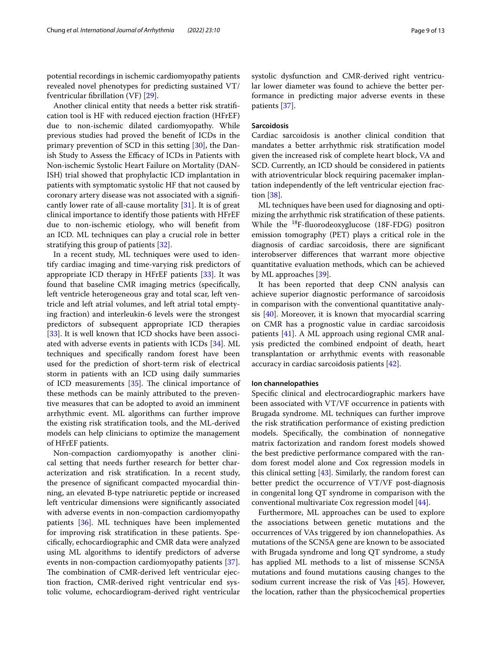potential recordings in ischemic cardiomyopathy patients revealed novel phenotypes for predicting sustained VT/ fventricular fbrillation (VF) [[29\]](#page-11-24).

Another clinical entity that needs a better risk stratifcation tool is HF with reduced ejection fraction (HFrEF) due to non-ischemic dilated cardiomyopathy. While previous studies had proved the beneft of ICDs in the primary prevention of SCD in this setting [[30\]](#page-11-29), the Danish Study to Assess the Efficacy of ICDs in Patients with Non-ischemic Systolic Heart Failure on Mortality (DAN-ISH) trial showed that prophylactic ICD implantation in patients with symptomatic systolic HF that not caused by coronary artery disease was not associated with a signifcantly lower rate of all-cause mortality [\[31](#page-11-30)]. It is of great clinical importance to identify those patients with HFrEF due to non-ischemic etiology, who will beneft from an ICD. ML techniques can play a crucial role in better stratifying this group of patients [\[32\]](#page-11-25).

In a recent study, ML techniques were used to identify cardiac imaging and time-varying risk predictors of appropriate ICD therapy in HFrEF patients [\[33\]](#page-11-26). It was found that baseline CMR imaging metrics (specifcally, left ventricle heterogeneous gray and total scar, left ventricle and left atrial volumes, and left atrial total emptying fraction) and interleukin-6 levels were the strongest predictors of subsequent appropriate ICD therapies [[33\]](#page-11-26). It is well known that ICD shocks have been associated with adverse events in patients with ICDs [[34](#page-11-31)]. ML techniques and specifcally random forest have been used for the prediction of short-term risk of electrical storm in patients with an ICD using daily summaries of ICD measurements  $[35]$  $[35]$ . The clinical importance of these methods can be mainly attributed to the preventive measures that can be adopted to avoid an imminent arrhythmic event. ML algorithms can further improve the existing risk stratifcation tools, and the ML-derived models can help clinicians to optimize the management of HFrEF patients.

Non-compaction cardiomyopathy is another clinical setting that needs further research for better characterization and risk stratifcation. In a recent study, the presence of signifcant compacted myocardial thinning, an elevated B‐type natriuretic peptide or increased left ventricular dimensions were signifcantly associated with adverse events in non-compaction cardiomyopathy patients [[36](#page-11-32)]. ML techniques have been implemented for improving risk stratifcation in these patients. Specifcally, echocardiographic and CMR data were analyzed using ML algorithms to identify predictors of adverse events in non-compaction cardiomyopathy patients [\[37](#page-11-27)]. The combination of CMR-derived left ventricular ejection fraction, CMR-derived right ventricular end systolic volume, echocardiogram-derived right ventricular systolic dysfunction and CMR-derived right ventricular lower diameter was found to achieve the better performance in predicting major adverse events in these patients [[37\]](#page-11-27).

## **Sarcoidosis**

Cardiac sarcoidosis is another clinical condition that mandates a better arrhythmic risk stratifcation model given the increased risk of complete heart block, VA and SCD. Currently, an ICD should be considered in patients with atrioventricular block requiring pacemaker implantation independently of the left ventricular ejection fraction [[38\]](#page-11-33).

ML techniques have been used for diagnosing and optimizing the arrhythmic risk stratifcation of these patients. While the 18F-fuorodeoxyglucose (18F-FDG) positron emission tomography (PET) plays a critical role in the diagnosis of cardiac sarcoidosis, there are signifcant interobserver diferences that warrant more objective quantitative evaluation methods, which can be achieved by ML approaches [[39](#page-12-14)].

It has been reported that deep CNN analysis can achieve superior diagnostic performance of sarcoidosis in comparison with the conventional quantitative analysis [[40\]](#page-12-15). Moreover, it is known that myocardial scarring on CMR has a prognostic value in cardiac sarcoidosis patients [[41\]](#page-12-16). A ML approach using regional CMR analysis predicted the combined endpoint of death, heart transplantation or arrhythmic events with reasonable accuracy in cardiac sarcoidosis patients [[42](#page-12-7)].

## **Ion channelopathies**

Specifc clinical and electrocardiographic markers have been associated with VT/VF occurrence in patients with Brugada syndrome. ML techniques can further improve the risk stratifcation performance of existing prediction models. Specifcally, the combination of nonnegative matrix factorization and random forest models showed the best predictive performance compared with the random forest model alone and Cox regression models in this clinical setting [\[43](#page-12-2)]. Similarly, the random forest can better predict the occurrence of VT/VF post-diagnosis in congenital long QT syndrome in comparison with the conventional multivariate Cox regression model [\[44\]](#page-12-17).

Furthermore, ML approaches can be used to explore the associations between genetic mutations and the occurrences of VAs triggered by ion channelopathies. As mutations of the SCN5A gene are known to be associated with Brugada syndrome and long QT syndrome, a study has applied ML methods to a list of missense SCN5A mutations and found mutations causing changes to the sodium current increase the risk of Vas [[45\]](#page-12-18). However, the location, rather than the physicochemical properties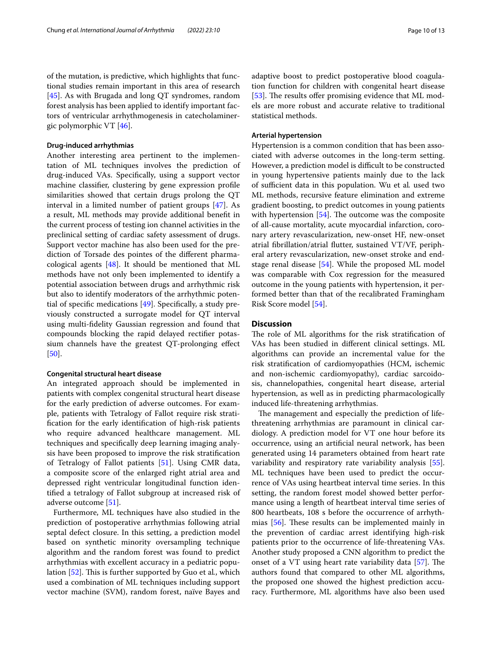of the mutation, is predictive, which highlights that functional studies remain important in this area of research [[45\]](#page-12-18). As with Brugada and long QT syndromes, random forest analysis has been applied to identify important factors of ventricular arrhythmogenesis in catecholaminergic polymorphic VT [\[46\]](#page-12-19).

#### **Drug‑induced arrhythmias**

Another interesting area pertinent to the implementation of ML techniques involves the prediction of drug-induced VAs. Specifcally, using a support vector machine classifer, clustering by gene expression profle similarities showed that certain drugs prolong the QT interval in a limited number of patient groups [[47](#page-12-10)]. As a result, ML methods may provide additional beneft in the current process of testing ion channel activities in the preclinical setting of cardiac safety assessment of drugs. Support vector machine has also been used for the prediction of Torsade des pointes of the diferent pharmacological agents [[48\]](#page-12-12). It should be mentioned that ML methods have not only been implemented to identify a potential association between drugs and arrhythmic risk but also to identify moderators of the arrhythmic potential of specifc medications [[49\]](#page-12-5). Specifcally, a study previously constructed a surrogate model for QT interval using multi-fdelity Gaussian regression and found that compounds blocking the rapid delayed rectifer potassium channels have the greatest QT-prolonging efect [[50\]](#page-12-20).

## **Congenital structural heart disease**

An integrated approach should be implemented in patients with complex congenital structural heart disease for the early prediction of adverse outcomes. For example, patients with Tetralogy of Fallot require risk stratifcation for the early identifcation of high-risk patients who require advanced healthcare management. ML techniques and specifcally deep learning imaging analysis have been proposed to improve the risk stratifcation of Tetralogy of Fallot patients [[51\]](#page-12-3). Using CMR data, a composite score of the enlarged right atrial area and depressed right ventricular longitudinal function identifed a tetralogy of Fallot subgroup at increased risk of adverse outcome [\[51\]](#page-12-3).

Furthermore, ML techniques have also studied in the prediction of postoperative arrhythmias following atrial septal defect closure. In this setting, a prediction model based on synthetic minority oversampling technique algorithm and the random forest was found to predict arrhythmias with excellent accuracy in a pediatric popu-lation [[52\]](#page-12-4). This is further supported by Guo et al., which used a combination of ML techniques including support vector machine (SVM), random forest, naïve Bayes and adaptive boost to predict postoperative blood coagulation function for children with congenital heart disease [[53\]](#page-12-21). The results offer promising evidence that ML models are more robust and accurate relative to traditional statistical methods.

## **Arterial hypertension**

Hypertension is a common condition that has been associated with adverse outcomes in the long-term setting. However, a prediction model is difficult to be constructed in young hypertensive patients mainly due to the lack of sufficient data in this population. Wu et al. used two ML methods, recursive feature elimination and extreme gradient boosting, to predict outcomes in young patients with hypertension  $[54]$ . The outcome was the composite of all-cause mortality, acute myocardial infarction, coronary artery revascularization, new-onset HF, new-onset atrial fbrillation/atrial futter, sustained VT/VF, peripheral artery revascularization, new-onset stroke and endstage renal disease [[54\]](#page-12-9). While the proposed ML model was comparable with Cox regression for the measured outcome in the young patients with hypertension, it performed better than that of the recalibrated Framingham Risk Score model [[54\]](#page-12-9).

## **Discussion**

The role of ML algorithms for the risk stratification of VAs has been studied in diferent clinical settings. ML algorithms can provide an incremental value for the risk stratifcation of cardiomyopathies (HCM, ischemic and non-ischemic cardiomyopathy), cardiac sarcoidosis, channelopathies, congenital heart disease, arterial hypertension, as well as in predicting pharmacologically induced life-threatening arrhythmias.

The management and especially the prediction of lifethreatening arrhythmias are paramount in clinical cardiology. A prediction model for VT one hour before its occurrence, using an artifcial neural network, has been generated using 14 parameters obtained from heart rate variability and respiratory rate variability analysis [\[55](#page-12-13)]. ML techniques have been used to predict the occurrence of VΑs using heartbeat interval time series. In this setting, the random forest model showed better performance using a length of heartbeat interval time series of 800 heartbeats, 108 s before the occurrence of arrhythmias  $[56]$ . These results can be implemented mainly in the prevention of cardiac arrest identifying high-risk patients prior to the occurrence of life-threatening VAs. Another study proposed a CNN algorithm to predict the onset of a VT using heart rate variability data  $[57]$  $[57]$  $[57]$ . The authors found that compared to other ML algorithms, the proposed one showed the highest prediction accuracy. Furthermore, ML algorithms have also been used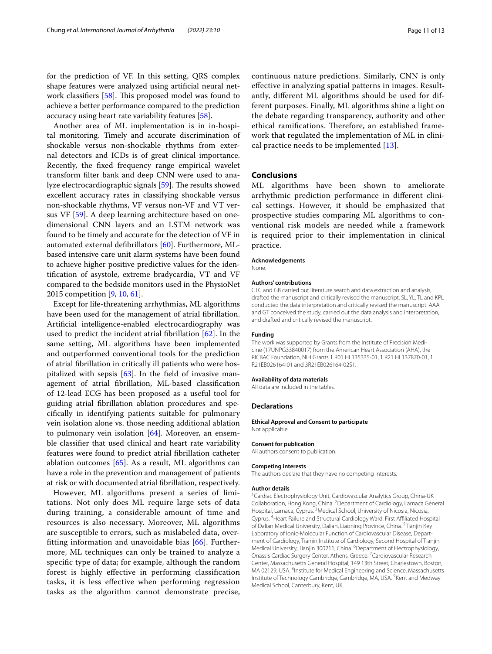for the prediction of VF. In this setting, QRS complex shape features were analyzed using artifcial neural network classifiers  $[58]$  $[58]$ . This proposed model was found to achieve a better performance compared to the prediction accuracy using heart rate variability features [\[58\]](#page-12-6).

Another area of ML implementation is in in-hospital monitoring. Timely and accurate discrimination of shockable versus non-shockable rhythms from external detectors and ICDs is of great clinical importance. Recently, the fxed frequency range empirical wavelet transform flter bank and deep CNN were used to ana-lyze electrocardiographic signals [[59\]](#page-12-22). The results showed excellent accuracy rates in classifying shockable versus non-shockable rhythms, VF versus non-VF and VT versus VF [\[59\]](#page-12-22). A deep learning architecture based on onedimensional CNN layers and an LSTM network was found to be timely and accurate for the detection of VF in automated external defbrillators [[60\]](#page-12-23). Furthermore, MLbased intensive care unit alarm systems have been found to achieve higher positive predictive values for the identifcation of asystole, extreme bradycardia, VT and VF compared to the bedside monitors used in the PhysioNet 2015 competition [\[9](#page-11-4), [10](#page-11-5), [61\]](#page-12-24).

Except for life-threatening arrhythmias, ML algorithms have been used for the management of atrial fbrillation. Artifcial intelligence-enabled electrocardiography was used to predict the incident atrial fbrillation [[62\]](#page-12-25). In the same setting, ML algorithms have been implemented and outperformed conventional tools for the prediction of atrial fbrillation in critically ill patients who were hospitalized with sepsis  $[63]$  $[63]$ . In the field of invasive management of atrial fbrillation, ML-based classifcation of 12-lead ECG has been proposed as a useful tool for guiding atrial fbrillation ablation procedures and specifcally in identifying patients suitable for pulmonary vein isolation alone vs. those needing additional ablation to pulmonary vein isolation [\[64](#page-12-27)]. Moreover, an ensemble classifer that used clinical and heart rate variability features were found to predict atrial fbrillation catheter ablation outcomes [[65\]](#page-12-28). As a result, ML algorithms can have a role in the prevention and management of patients at risk or with documented atrial fbrillation, respectively.

However, ML algorithms present a series of limitations. Not only does ML require large sets of data during training, a considerable amount of time and resources is also necessary. Moreover, ML algorithms are susceptible to errors, such as mislabeled data, overftting information and unavoidable bias [\[66](#page-12-29)]. Furthermore, ML techniques can only be trained to analyze a specifc type of data; for example, although the random forest is highly efective in performing classifcation tasks, it is less efective when performing regression tasks as the algorithm cannot demonstrate precise,

continuous nature predictions. Similarly, CNN is only efective in analyzing spatial patterns in images. Resultantly, diferent ML algorithms should be used for different purposes. Finally, ML algorithms shine a light on the debate regarding transparency, authority and other ethical ramifications. Therefore, an established framework that regulated the implementation of ML in clinical practice needs to be implemented [\[13](#page-11-8)].

## **Conclusions**

ML algorithms have been shown to ameliorate arrhythmic prediction performance in diferent clinical settings. However, it should be emphasized that prospective studies comparing ML algorithms to conventional risk models are needed while a framework is required prior to their implementation in clinical practice.

#### **Acknowledgements**

None.

#### **Authors' contributions**

CTC and GB carried out literature search and data extraction and analysis, drafted the manuscript and critically revised the manuscript. SL, YL, TL and KPL conducted the data interpretation and critically revised the manuscript. AAA and GT conceived the study, carried out the data analysis and interpretation, and drafted and critically revised the manuscript.

#### **Funding**

The work was supported by Grants from the Institute of Precision Medicine (17UNPG33840017) from the American Heart Association (AHA), the RICBAC Foundation, NIH Grants 1 R01 HL135335-01, 1 R21 HL137870-01, 1 R21EB026164-01 and 3R21EB026164-02S1.

#### **Availability of data materials**

All data are included in the tables.

#### **Declarations**

## **Ethical Approval and Consent to participate**

Not applicable.

#### **Consent for publication**

All authors consent to publication.

#### **Competing interests**

The authors declare that they have no competing interests.

#### **Author details**

<sup>1</sup> Cardiac Electrophysiology Unit, Cardiovascular Analytics Group, China-UK Collaboration, Hong Kong, China. <sup>2</sup> Department of Cardiology, Larnaca General Hospital, Larnaca, Cyprus.<sup>3</sup> Medical School, University of Nicosia, Nicosia, Cyprus. 4 Heart Failure and Structural Cardiology Ward, First Afliated Hospital of Dalian Medical University, Dalian, Liaoning Province, China. <sup>5</sup>Tianjin Key Laboratory of Ionic-Molecular Function of Cardiovascular Disease, Department of Cardiology, Tianjin Institute of Cardiology, Second Hospital of Tianjin Medical University, Tianjin 300211, China. <sup>6</sup>Department of Electrophysiology, Onassis Cardiac Surgery Center, Athens, Greece.<sup>7</sup> Cardiovascular Research Center, Massachusetts General Hospital, 149 13th Street, Charlestown, Boston, MA 02129, USA. <sup>8</sup>Institute for Medical Engineering and Science, Massachusetts Institute of Technology Cambridge, Cambridge, MA, USA. <sup>9</sup>Kent and Medway Medical School, Canterbury, Kent, UK.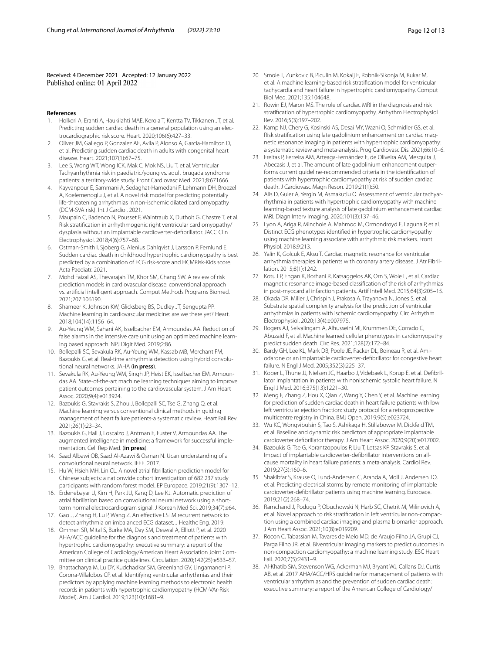Received: 4 December 2021 Accepted: 12 January 2022 Published online: 01 April 2022

#### **References**

- <span id="page-11-0"></span>1. Holkeri A, Eranti A, Haukilahti MAE, Kerola T, Kentta TV, Tikkanen JT, et al. Predicting sudden cardiac death in a general population using an electrocardiographic risk score. Heart. 2020;106(6):427–33.
- 2. Oliver JM, Gallego P, Gonzalez AE, Avila P, Alonso A, Garcia-Hamilton D, et al. Predicting sudden cardiac death in adults with congenital heart disease. Heart. 2021;107(1):67–75.
- Lee S, Wong WT, Wong ICK, Mak C, Mok NS, Liu T, et al. Ventricular Tachyarrhythmia risk in paediatric/young vs. adult brugada syndrome patients: a territory-wide study. Front Cardiovasc Med. 2021;8:671666.
- 4. Kayvanpour E, Sammani A, Sedaghat-Hamedani F, Lehmann DH, Broezel A, Koelemenoglu J, et al. A novel risk model for predicting potentially life-threatening arrhythmias in non-ischemic dilated cardiomyopathy (DCM-SVA risk). Int J Cardiol. 2021.
- 5. Maupain C, Badenco N, Pousset F, Waintraub X, Duthoit G, Chastre T, et al. Risk stratifcation in arrhythmogenic right ventricular cardiomyopathy/ dysplasia without an implantable cardioverter-defbrillator. JACC Clin Electrophysiol. 2018;4(6):757–68.
- <span id="page-11-1"></span>6. Ostman-Smith I, Sjoberg G, Alenius Dahlqvist J, Larsson P, Fernlund E. Sudden cardiac death in childhood hypertrophic cardiomyopathy is best predicted by a combination of ECG risk-score and HCMRisk-Kids score. Acta Paediatr. 2021.
- <span id="page-11-2"></span>7. Mohd Faizal AS, Thevarajah TM, Khor SM, Chang SW. A review of risk prediction models in cardiovascular disease: conventional approach vs. artifcial intelligent approach. Comput Methods Programs Biomed. 2021;207:106190.
- <span id="page-11-3"></span>8. Shameer K, Johnson KW, Glicksberg BS, Dudley JT, Sengupta PP. Machine learning in cardiovascular medicine: are we there yet? Heart. 2018;104(14):1156–64.
- <span id="page-11-4"></span>9. Au-Yeung WM, Sahani AK, Isselbacher EM, Armoundas AA. Reduction of false alarms in the intensive care unit using an optimized machine learning based approach. NPJ Digit Med. 2019;2:86.
- <span id="page-11-5"></span>10. Bollepalli SC, Sevakula RK, Au-Yeung WM, Kassab MB, Merchant FM, Bazoukis G, et al. Real-time arrhythmia detection using hybrid convolutional neural networks. JAHA (**in press**).
- <span id="page-11-6"></span>11. Sevakula RK, Au-Yeung WM, Singh JP, Heist EK, Isselbacher EM, Armoundas AA. State-of-the-art machine learning techniques aiming to improve patient outcomes pertaining to the cardiovascular system. J Am Heart Assoc. 2020;9(4):e013924.
- <span id="page-11-7"></span>12. Bazoukis G, Stavrakis S, Zhou J, Bollepalli SC, Tse G, Zhang Q, et al. Machine learning versus conventional clinical methods in guiding management of heart failure patients-a systematic review. Heart Fail Rev. 2021;26(1):23–34.
- <span id="page-11-8"></span>13. Bazoukis G, Hall J, Loscalzo J, Antman E, Fuster V, Armoundas AA. The augmented intelligence in medicine: a framework for successful implementation. Cell Rep Med. (**in press**).
- <span id="page-11-9"></span>14. Saad Albawi OB, Saad Al-Azawi & Osman N. Ucan understanding of a convolutional neural network. IEEE. 2017.
- <span id="page-11-10"></span>15. Hu W, Hsieh MH, Lin CL. A novel atrial fbrillation prediction model for Chinese subjects: a nationwide cohort investigation of 682 237 study participants with random forest model. EP Europace. 2019;21(9):1307–12.
- <span id="page-11-11"></span>16. Erdenebayar U, Kim H, Park JU, Kang D, Lee KJ. Automatic prediction of atrial fbrillation based on convolutional neural network using a shortterm normal electrocardiogram signal. J Korean Med Sci. 2019;34(7):e64.
- <span id="page-11-12"></span>17. Gao J, Zhang H, Lu P, Wang Z. An efective LSTM recurrent network to detect arrhythmia on imbalanced ECG dataset. J Healthc Eng. 2019.
- <span id="page-11-13"></span>18. Ommen SR, Mital S, Burke MA, Day SM, Deswal A, Elliott P, et al. 2020 AHA/ACC guideline for the diagnosis and treatment of patients with hypertrophic cardiomyopathy: executive summary: a report of the American College of Cardiology/American Heart Association Joint Committee on clinical practice guidelines. Circulation. 2020;142(25):e533–57.
- <span id="page-11-14"></span>19. Bhattacharya M, Lu DY, Kudchadkar SM, Greenland GV, Lingamaneni P, Corona-Villalobos CP, et al. Identifying ventricular arrhythmias and their predictors by applying machine learning methods to electronic health records in patients with hypertrophic cardiomyopathy (HCM-VAr-Risk Model). Am J Cardiol. 2019;123(10):1681–9.
- <span id="page-11-15"></span>20. Smole T, Zunkovic B, Piculin M, Kokalj E, Robnik-Sikonja M, Kukar M, et al. A machine learning-based risk stratifcation model for ventricular tachycardia and heart failure in hypertrophic cardiomyopathy. Comput Biol Med. 2021;135:104648.
- <span id="page-11-16"></span>21. Rowin EJ, Maron MS. The role of cardiac MRI in the diagnosis and risk stratifcation of hypertrophic cardiomyopathy. Arrhythm Electrophysiol Rev. 2016;5(3):197–202.
- <span id="page-11-17"></span>22. Kamp NJ, Chery G, Kosinski AS, Desai MY, Wazni O, Schmidler GS, et al. Risk stratifcation using late gadolinium enhancement on cardiac magnetic resonance imaging in patients with hypertrophic cardiomyopathy: a systematic review and meta-analysis. Prog Cardiovasc Dis. 2021;66:10–6.
- <span id="page-11-18"></span>23. Freitas P, Ferreira AM, Arteaga-Fernández E, de Oliveira AM, Mesquita J, Abecasis J, et al. The amount of late gadolinium enhancement outperforms current guideline-recommended criteria in the identifcation of patients with hypertrophic cardiomyopathy at risk of sudden cardiac death. J Cardiovasc Magn Reson. 2019;21(1):50.
- <span id="page-11-19"></span>24. Alis D, Guler A, Yergin M, Asmakutlu O. Assessment of ventricular tachyarrhythmia in patients with hypertrophic cardiomyopathy with machine learning-based texture analysis of late gadolinium enhancement cardiac MRI. Diagn Interv Imaging. 2020;101(3):137–46.
- <span id="page-11-20"></span>25. Lyon A, Ariga R, Minchole A, Mahmod M, Ormondroyd E, Laguna P, et al. Distinct ECG phenotypes identifed in hypertrophic cardiomyopathy using machine learning associate with arrhythmic risk markers. Front Physiol. 2018;9:213.
- <span id="page-11-21"></span>26. Yalin K, Golcuk E, Aksu T. Cardiac magnetic resonance for ventricular arrhythmia therapies in patients with coronary artery disease. J Atr Fibrillation. 2015;8(1):1242.
- <span id="page-11-22"></span>27. Kotu LP, Engan K, Borhani R, Katsaggelos AK, Orn S, Woie L, et al. Cardiac magnetic resonance image-based classifcation of the risk of arrhythmias in post-myocardial infarction patients. Artif Intell Med. 2015;64(3):205–15.
- <span id="page-11-23"></span>28. Okada DR, Miller J, Chrispin J, Prakosa A, Trayanova N, Jones S, et al. Substrate spatial complexity analysis for the prediction of ventricular arrhythmias in patients with ischemic cardiomyopathy. Circ Arrhythm Electrophysiol. 2020;13(4):e007975.
- <span id="page-11-24"></span>29. Rogers AJ, Selvalingam A, Alhusseini MI, Krummen DE, Corrado C, Abuzaid F, et al. Machine learned cellular phenotypes in cardiomyopathy predict sudden death. Circ Res. 2021;128(2):172–84.
- <span id="page-11-29"></span>30. Bardy GH, Lee KL, Mark DB, Poole JE, Packer DL, Boineau R, et al. Amiodarone or an implantable cardioverter-defbrillator for congestive heart failure. N Engl J Med. 2005;352(3):225–37.
- <span id="page-11-30"></span>31. Kober L, Thune JJ, Nielsen JC, Haarbo J, Videbaek L, Korup E, et al. Defbrillator implantation in patients with nonischemic systolic heart failure. N Engl J Med. 2016;375(13):1221–30.
- <span id="page-11-25"></span>32. Meng F, Zhang Z, Hou X, Qian Z, Wang Y, Chen Y, et al. Machine learning for prediction of sudden cardiac death in heart failure patients with low left ventricular ejection fraction: study protocol for a retroprospective multicentre registry in China. BMJ Open. 2019;9(5):e023724.
- <span id="page-11-26"></span>33. Wu KC, Wongvibulsin S, Tao S, Ashikaga H, Stillabower M, Dickfeld TM, et al. Baseline and dynamic risk predictors of appropriate implantable cardioverter defbrillator therapy. J Am Heart Assoc. 2020;9(20):e017002.
- <span id="page-11-31"></span>34. Bazoukis G, Tse G, Korantzopoulos P, Liu T, Letsas KP, Stavrakis S, et al. Impact of implantable cardioverter-defbrillator interventions on allcause mortality in heart failure patients: a meta-analysis. Cardiol Rev. 2019;27(3):160–6.
- <span id="page-11-28"></span>35. Shakibfar S, Krause O, Lund-Andersen C, Aranda A, Moll J, Andersen TO, et al. Predicting electrical storms by remote monitoring of implantable cardioverter-defbrillator patients using machine learning. Europace. 2019;21(2):268–74.
- <span id="page-11-32"></span>36. Ramchand J, Podugu P, Obuchowski N, Harb SC, Chetrit M, Milinovich A, et al. Novel approach to risk stratifcation in left ventricular non-compaction using a combined cardiac imaging and plasma biomarker approach. J Am Heart Assoc. 2021;10(8):e019209.
- <span id="page-11-27"></span>37. Rocon C, Tabassian M, Tavares de Melo MD, de Araujo Filho JA, Grupi CJ, Parga Filho JR, et al. Biventricular imaging markers to predict outcomes in non-compaction cardiomyopathy: a machine learning study. ESC Heart Fail. 2020;7(5):2431–9.
- <span id="page-11-33"></span>38. Al-Khatib SM, Stevenson WG, Ackerman MJ, Bryant WJ, Callans DJ, Curtis AB, et al. 2017 AHA/ACC/HRS guideline for management of patients with ventricular arrhythmias and the prevention of sudden cardiac death: executive summary: a report of the American College of Cardiology/